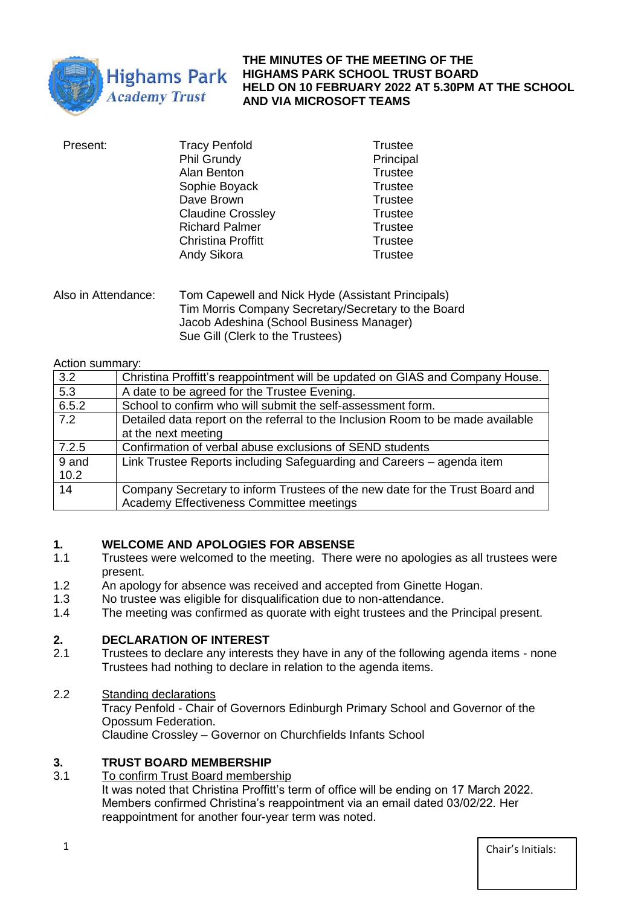

#### **THE MINUTES OF THE MEETING OF THE HIGHAMS PARK SCHOOL TRUST BOARD HELD ON 10 FEBRUARY 2022 AT 5.30PM AT THE SCHOOL AND VIA MICROSOFT TEAMS**

| Present: | <b>Tracy Penfold</b>      | Trustee        |
|----------|---------------------------|----------------|
|          | <b>Phil Grundy</b>        | Principal      |
|          | Alan Benton               | <b>Trustee</b> |
|          | Sophie Boyack             | Trustee        |
|          | Dave Brown                | <b>Trustee</b> |
|          | <b>Claudine Crossley</b>  | Trustee        |
|          | <b>Richard Palmer</b>     | <b>Trustee</b> |
|          | <b>Christina Proffitt</b> | <b>Trustee</b> |
|          | Andy Sikora               | Trustee        |
|          |                           |                |

Also in Attendance: Tom Capewell and Nick Hyde (Assistant Principals) Tim Morris Company Secretary/Secretary to the Board Jacob Adeshina (School Business Manager) Sue Gill (Clerk to the Trustees)

Action summary:

| 3.2   | Christina Proffitt's reappointment will be updated on GIAS and Company House.   |
|-------|---------------------------------------------------------------------------------|
| 5.3   | A date to be agreed for the Trustee Evening.                                    |
| 6.5.2 | School to confirm who will submit the self-assessment form.                     |
| 7.2   | Detailed data report on the referral to the Inclusion Room to be made available |
|       | at the next meeting                                                             |
| 7.2.5 | Confirmation of verbal abuse exclusions of SEND students                        |
| 9 and | Link Trustee Reports including Safeguarding and Careers – agenda item           |
| 10.2  |                                                                                 |
| 14    | Company Secretary to inform Trustees of the new date for the Trust Board and    |
|       | Academy Effectiveness Committee meetings                                        |

## **1. WELCOME AND APOLOGIES FOR ABSENSE**

- 1.1 Trustees were welcomed to the meeting. There were no apologies as all trustees were present.
- 1.2 An apology for absence was received and accepted from Ginette Hogan.
- 1.3 No trustee was eligible for disqualification due to non-attendance.
- 1.4 The meeting was confirmed as quorate with eight trustees and the Principal present.

# **2. DECLARATION OF INTEREST**<br>**2.1** Trustees to declare any interests

- Trustees to declare any interests they have in any of the following agenda items none Trustees had nothing to declare in relation to the agenda items.
- 2.2 Standing declarations Tracy Penfold - Chair of Governors Edinburgh Primary School and Governor of the Opossum Federation.

Claudine Crossley – Governor on Churchfields Infants School

## **3. TRUST BOARD MEMBERSHIP**

3.1 To confirm Trust Board membership It was noted that Christina Proffitt's term of office will be ending on 17 March 2022. Members confirmed Christina's reappointment via an email dated 03/02/22. Her reappointment for another four-year term was noted.

**1** Chair's Initials: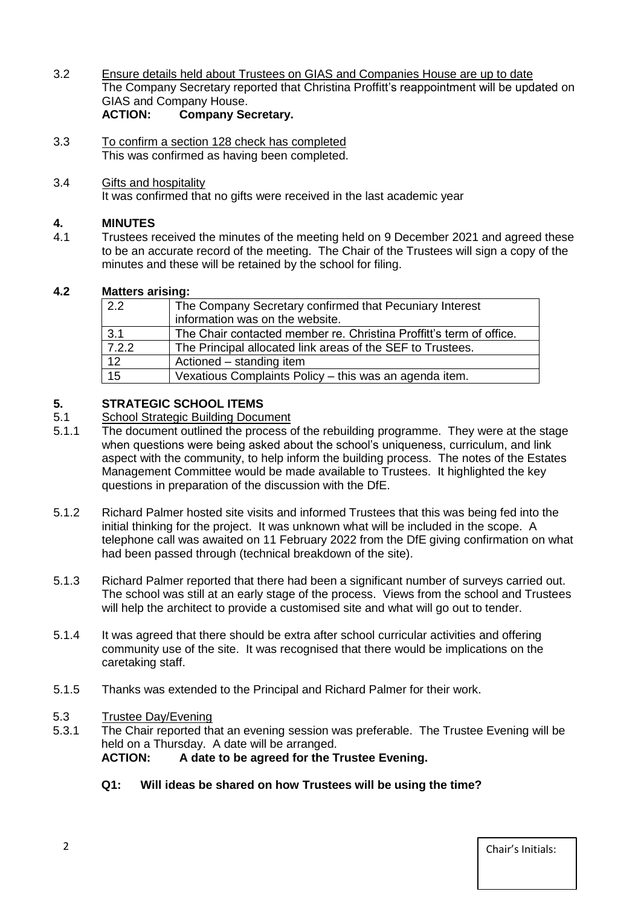- 3.2 Ensure details held about Trustees on GIAS and Companies House are up to date The Company Secretary reported that Christina Proffitt's reappointment will be updated on GIAS and Company House.<br>ACTION: Company Se **Company Secretary.**
- 3.3 To confirm a section 128 check has completed This was confirmed as having been completed.
- 3.4 Gifts and hospitality It was confirmed that no gifts were received in the last academic vear

## **4. MINUTES**

4.1 Trustees received the minutes of the meeting held on 9 December 2021 and agreed these to be an accurate record of the meeting. The Chair of the Trustees will sign a copy of the minutes and these will be retained by the school for filing.

## **4.2 Matters arising:**

| 2.2   | The Company Secretary confirmed that Pecuniary Interest             |
|-------|---------------------------------------------------------------------|
|       | information was on the website.                                     |
| 3.1   | The Chair contacted member re. Christina Proffitt's term of office. |
| 7.2.2 | The Principal allocated link areas of the SEF to Trustees.          |
| 12    | Actioned – standing item                                            |
| 15    | Vexatious Complaints Policy - this was an agenda item.              |

## **5. STRATEGIC SCHOOL ITEMS**

## 5.1 School Strategic Building Document<br>5.1.1 The document outlined the process o

- The document outlined the process of the rebuilding programme. They were at the stage when questions were being asked about the school's uniqueness, curriculum, and link aspect with the community, to help inform the building process. The notes of the Estates Management Committee would be made available to Trustees. It highlighted the key questions in preparation of the discussion with the DfE.
- 5.1.2 Richard Palmer hosted site visits and informed Trustees that this was being fed into the initial thinking for the project. It was unknown what will be included in the scope. A telephone call was awaited on 11 February 2022 from the DfE giving confirmation on what had been passed through (technical breakdown of the site).
- 5.1.3 Richard Palmer reported that there had been a significant number of surveys carried out. The school was still at an early stage of the process. Views from the school and Trustees will help the architect to provide a customised site and what will go out to tender.
- 5.1.4 It was agreed that there should be extra after school curricular activities and offering community use of the site. It was recognised that there would be implications on the caretaking staff.
- 5.1.5 Thanks was extended to the Principal and Richard Palmer for their work.

#### 5.3 Trustee Day/Evening

- 5.3.1 The Chair reported that an evening session was preferable. The Trustee Evening will be held on a Thursday. A date will be arranged. **ACTION: A date to be agreed for the Trustee Evening.**
	- **Q1: Will ideas be shared on how Trustees will be using the time?**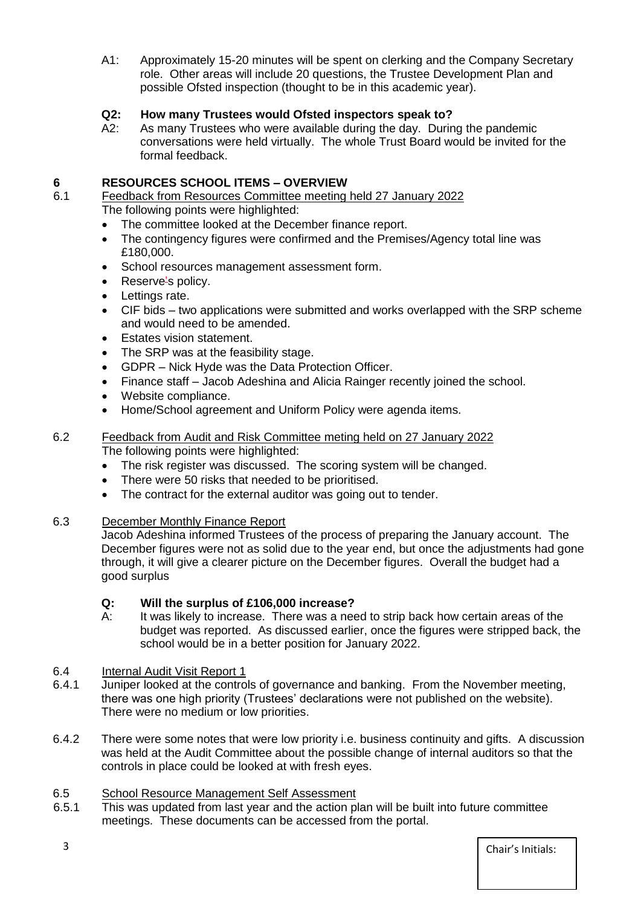A1: Approximately 15-20 minutes will be spent on clerking and the Company Secretary role. Other areas will include 20 questions, the Trustee Development Plan and possible Ofsted inspection (thought to be in this academic year).

## **Q2: How many Trustees would Ofsted inspectors speak to?**

A2: As many Trustees who were available during the day. During the pandemic conversations were held virtually. The whole Trust Board would be invited for the formal feedback.

## **6 RESOURCES SCHOOL ITEMS – OVERVIEW**

- 6.1 Feedback from Resources Committee meeting held 27 January 2022 The following points were highlighted:
	- The committee looked at the December finance report.
	- The contingency figures were confirmed and the Premises/Agency total line was £180,000.
	- School resources management assessment form.
	- Reserve's policy.
	- Lettings rate.
	- CIF bids two applications were submitted and works overlapped with the SRP scheme and would need to be amended.
	- Estates vision statement.
	- The SRP was at the feasibility stage.
	- GDPR Nick Hyde was the Data Protection Officer.
	- Finance staff Jacob Adeshina and Alicia Rainger recently joined the school.
	- Website compliance.
	- Home/School agreement and Uniform Policy were agenda items.
- 6.2 Feedback from Audit and Risk Committee meting held on 27 January 2022 The following points were highlighted:
	- The risk register was discussed. The scoring system will be changed.
	- There were 50 risks that needed to be prioritised.
	- The contract for the external auditor was going out to tender.

#### 6.3 December Monthly Finance Report

Jacob Adeshina informed Trustees of the process of preparing the January account. The December figures were not as solid due to the year end, but once the adjustments had gone through, it will give a clearer picture on the December figures. Overall the budget had a good surplus

#### **Q: Will the surplus of £106,000 increase?**

A: It was likely to increase. There was a need to strip back how certain areas of the budget was reported. As discussed earlier, once the figures were stripped back, the school would be in a better position for January 2022.

#### 6.4 Internal Audit Visit Report 1

- 6.4.1 Juniper looked at the controls of governance and banking. From the November meeting, there was one high priority (Trustees' declarations were not published on the website). There were no medium or low priorities.
- 6.4.2 There were some notes that were low priority i.e. business continuity and gifts. A discussion was held at the Audit Committee about the possible change of internal auditors so that the controls in place could be looked at with fresh eyes.

#### 6.5 School Resource Management Self Assessment

6.5.1 This was updated from last year and the action plan will be built into future committee meetings. These documents can be accessed from the portal.

3 Chair's Initials: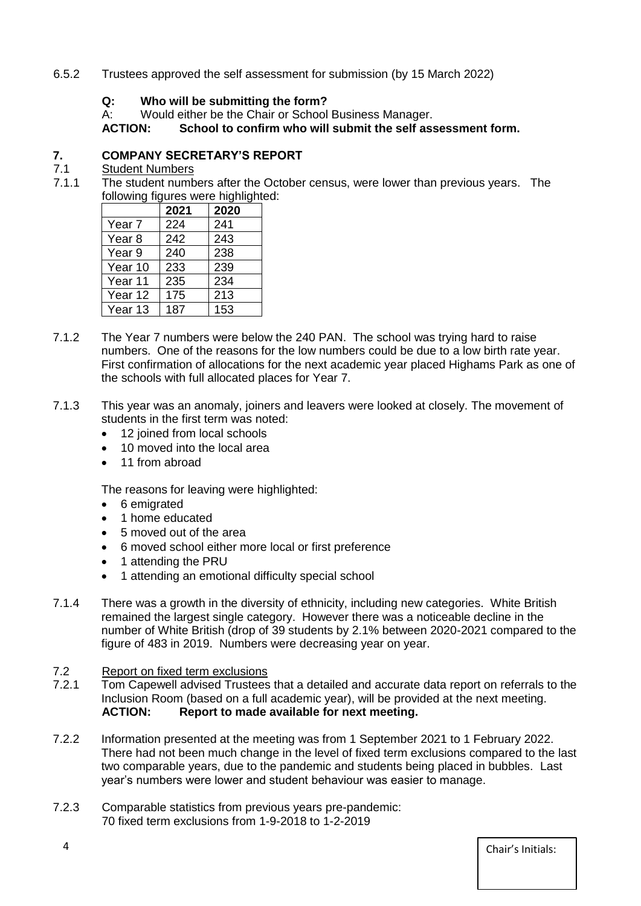## 6.5.2 Trustees approved the self assessment for submission (by 15 March 2022)

## **Q: Who will be submitting the form?**

A: Would either be the Chair or School Business Manager.<br>**ACTION:** School to confirm who will submit the self as:

**School to confirm who will submit the self assessment form.** 

## **7. COMPANY SECRETARY'S REPORT**

## 7.1 Student Numbers

7.1.1 The student numbers after the October census, were lower than previous years. The following figures were highlighted:

|                   | 2021 | 2020 |
|-------------------|------|------|
| Year <sub>7</sub> | 224  | 241  |
| Year <sub>8</sub> | 242  | 243  |
| Year 9            | 240  | 238  |
| Year 10           | 233  | 239  |
| Year 11           | 235  | 234  |
| Year 12           | 175  | 213  |
| Year 13           | 187  | 153  |

- 7.1.2 The Year 7 numbers were below the 240 PAN. The school was trying hard to raise numbers. One of the reasons for the low numbers could be due to a low birth rate year. First confirmation of allocations for the next academic year placed Highams Park as one of the schools with full allocated places for Year 7.
- 7.1.3 This year was an anomaly, joiners and leavers were looked at closely. The movement of students in the first term was noted:
	- 12 joined from local schools
	- 10 moved into the local area
	- 11 from abroad

The reasons for leaving were highlighted:

- 6 emigrated
- 1 home educated
- 5 moved out of the area
- 6 moved school either more local or first preference
- 1 attending the PRU
- 1 attending an emotional difficulty special school
- 7.1.4 There was a growth in the diversity of ethnicity, including new categories. White British remained the largest single category. However there was a noticeable decline in the number of White British (drop of 39 students by 2.1% between 2020-2021 compared to the figure of 483 in 2019. Numbers were decreasing year on year.

#### 7.2 Report on fixed term exclusions

- 7.2.1 Tom Capewell advised Trustees that a detailed and accurate data report on referrals to the Inclusion Room (based on a full academic year), will be provided at the next meeting. **ACTION: Report to made available for next meeting.**
- 7.2.2 Information presented at the meeting was from 1 September 2021 to 1 February 2022. There had not been much change in the level of fixed term exclusions compared to the last two comparable years, due to the pandemic and students being placed in bubbles. Last year's numbers were lower and student behaviour was easier to manage.
- 7.2.3 Comparable statistics from previous years pre-pandemic: 70 fixed term exclusions from 1-9-2018 to 1-2-2019

4 Chair's Initials: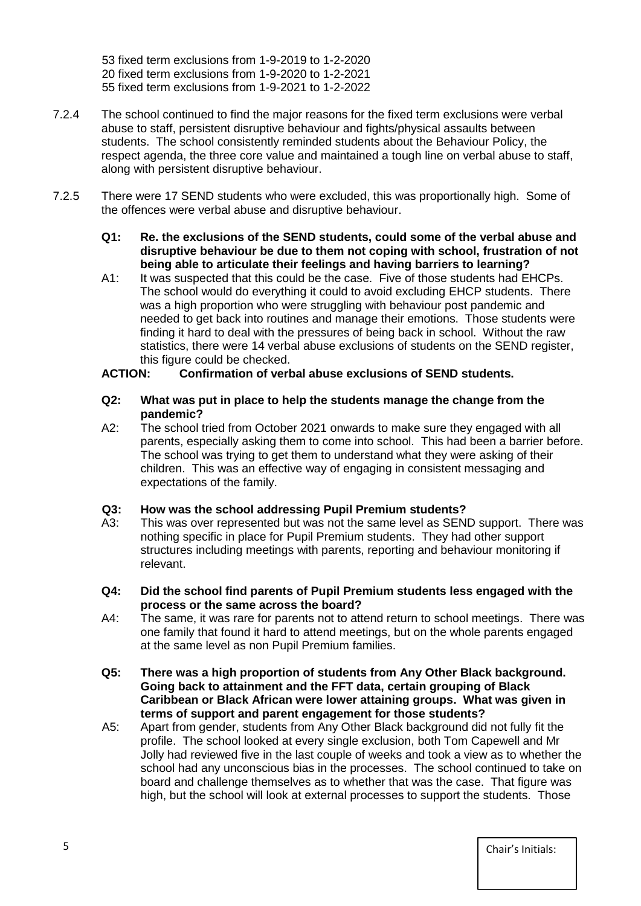53 fixed term exclusions from 1-9-2019 to 1-2-2020 20 fixed term exclusions from 1-9-2020 to 1-2-2021 55 fixed term exclusions from 1-9-2021 to 1-2-2022

- 7.2.4 The school continued to find the major reasons for the fixed term exclusions were verbal abuse to staff, persistent disruptive behaviour and fights/physical assaults between students. The school consistently reminded students about the Behaviour Policy, the respect agenda, the three core value and maintained a tough line on verbal abuse to staff, along with persistent disruptive behaviour.
- 7.2.5 There were 17 SEND students who were excluded, this was proportionally high. Some of the offences were verbal abuse and disruptive behaviour.
	- **Q1: Re. the exclusions of the SEND students, could some of the verbal abuse and disruptive behaviour be due to them not coping with school, frustration of not being able to articulate their feelings and having barriers to learning?**
	- A1: It was suspected that this could be the case. Five of those students had EHCPs. The school would do everything it could to avoid excluding EHCP students. There was a high proportion who were struggling with behaviour post pandemic and needed to get back into routines and manage their emotions. Those students were finding it hard to deal with the pressures of being back in school. Without the raw statistics, there were 14 verbal abuse exclusions of students on the SEND register, this figure could be checked.

#### **ACTION: Confirmation of verbal abuse exclusions of SEND students.**

- **Q2: What was put in place to help the students manage the change from the pandemic?**
- A2: The school tried from October 2021 onwards to make sure they engaged with all parents, especially asking them to come into school. This had been a barrier before. The school was trying to get them to understand what they were asking of their children. This was an effective way of engaging in consistent messaging and expectations of the family.

#### **Q3: How was the school addressing Pupil Premium students?**

- A3: This was over represented but was not the same level as SEND support. There was nothing specific in place for Pupil Premium students. They had other support structures including meetings with parents, reporting and behaviour monitoring if relevant.
- **Q4: Did the school find parents of Pupil Premium students less engaged with the process or the same across the board?**
- A4: The same, it was rare for parents not to attend return to school meetings. There was one family that found it hard to attend meetings, but on the whole parents engaged at the same level as non Pupil Premium families.
- **Q5: There was a high proportion of students from Any Other Black background. Going back to attainment and the FFT data, certain grouping of Black Caribbean or Black African were lower attaining groups. What was given in terms of support and parent engagement for those students?**
- A5: Apart from gender, students from Any Other Black background did not fully fit the profile. The school looked at every single exclusion, both Tom Capewell and Mr Jolly had reviewed five in the last couple of weeks and took a view as to whether the school had any unconscious bias in the processes. The school continued to take on board and challenge themselves as to whether that was the case. That figure was high, but the school will look at external processes to support the students. Those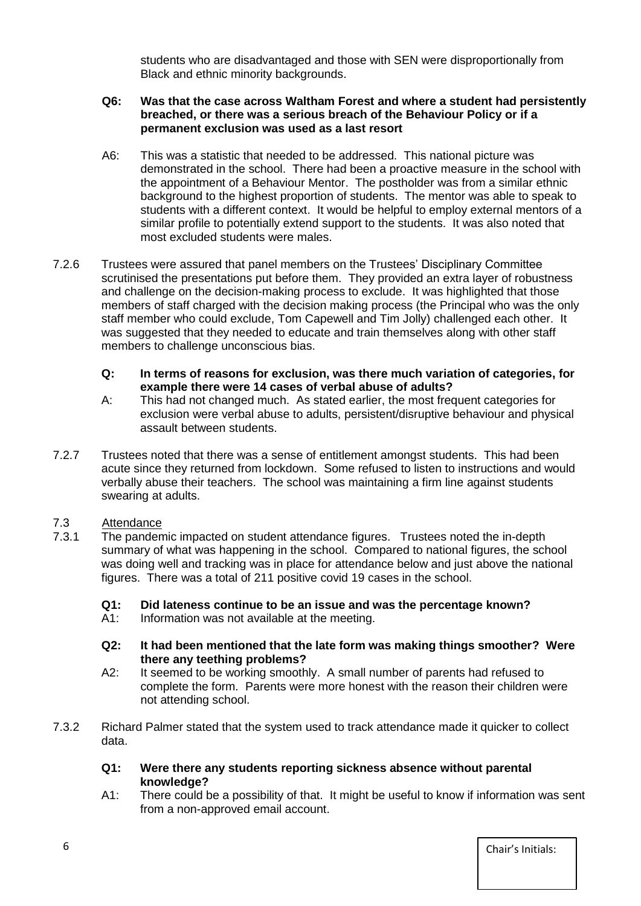students who are disadvantaged and those with SEN were disproportionally from Black and ethnic minority backgrounds.

#### **Q6: Was that the case across Waltham Forest and where a student had persistently breached, or there was a serious breach of the Behaviour Policy or if a permanent exclusion was used as a last resort**

- A6: This was a statistic that needed to be addressed. This national picture was demonstrated in the school. There had been a proactive measure in the school with the appointment of a Behaviour Mentor. The postholder was from a similar ethnic background to the highest proportion of students. The mentor was able to speak to students with a different context. It would be helpful to employ external mentors of a similar profile to potentially extend support to the students. It was also noted that most excluded students were males.
- 7.2.6 Trustees were assured that panel members on the Trustees' Disciplinary Committee scrutinised the presentations put before them. They provided an extra layer of robustness and challenge on the decision-making process to exclude. It was highlighted that those members of staff charged with the decision making process (the Principal who was the only staff member who could exclude, Tom Capewell and Tim Jolly) challenged each other. It was suggested that they needed to educate and train themselves along with other staff members to challenge unconscious bias.

#### **Q: In terms of reasons for exclusion, was there much variation of categories, for example there were 14 cases of verbal abuse of adults?**

- A: This had not changed much. As stated earlier, the most frequent categories for exclusion were verbal abuse to adults, persistent/disruptive behaviour and physical assault between students.
- 7.2.7 Trustees noted that there was a sense of entitlement amongst students. This had been acute since they returned from lockdown. Some refused to listen to instructions and would verbally abuse their teachers. The school was maintaining a firm line against students swearing at adults.

## 7.3 Attendance<br>7.3.1 The pander

The pandemic impacted on student attendance figures. Trustees noted the in-depth summary of what was happening in the school. Compared to national figures, the school was doing well and tracking was in place for attendance below and just above the national figures. There was a total of 211 positive covid 19 cases in the school.

#### **Q1: Did lateness continue to be an issue and was the percentage known?**

- A1: Information was not available at the meeting.
- **Q2: It had been mentioned that the late form was making things smoother? Were there any teething problems?**
- A2: It seemed to be working smoothly. A small number of parents had refused to complete the form. Parents were more honest with the reason their children were not attending school.
- 7.3.2 Richard Palmer stated that the system used to track attendance made it quicker to collect data.

#### **Q1: Were there any students reporting sickness absence without parental knowledge?**

A1: There could be a possibility of that. It might be useful to know if information was sent from a non-approved email account.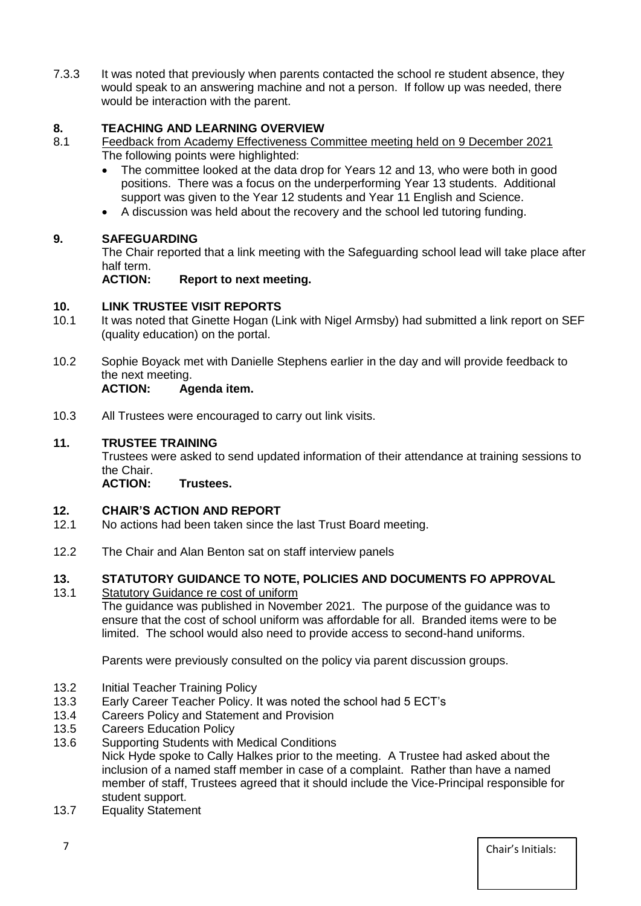7.3.3 It was noted that previously when parents contacted the school re student absence, they would speak to an answering machine and not a person. If follow up was needed, there would be interaction with the parent.

## **8. TEACHING AND LEARNING OVERVIEW**

- 8.1 Feedback from Academy Effectiveness Committee meeting held on 9 December 2021 The following points were highlighted:
	- The committee looked at the data drop for Years 12 and 13, who were both in good positions. There was a focus on the underperforming Year 13 students. Additional support was given to the Year 12 students and Year 11 English and Science.
	- A discussion was held about the recovery and the school led tutoring funding.

## **9. SAFEGUARDING**

The Chair reported that a link meeting with the Safeguarding school lead will take place after half term.

**ACTION: Report to next meeting.**

## **10. LINK TRUSTEE VISIT REPORTS**

- 10.1 It was noted that Ginette Hogan (Link with Nigel Armsby) had submitted a link report on SEF (quality education) on the portal.
- 10.2 Sophie Boyack met with Danielle Stephens earlier in the day and will provide feedback to the next meeting.

## **ACTION: Agenda item.**

10.3 All Trustees were encouraged to carry out link visits.

## **11. TRUSTEE TRAINING**

Trustees were asked to send updated information of their attendance at training sessions to the Chair.

**ACTION: Trustees.** 

## **12. CHAIR'S ACTION AND REPORT**<br>12.1 No actions had been taken since the

- No actions had been taken since the last Trust Board meeting.
- 12.2 The Chair and Alan Benton sat on staff interview panels

#### **13. STATUTORY GUIDANCE TO NOTE, POLICIES AND DOCUMENTS FO APPROVAL**

13.1 Statutory Guidance re cost of uniform

The guidance was published in November 2021. The purpose of the guidance was to ensure that the cost of school uniform was affordable for all. Branded items were to be limited. The school would also need to provide access to second-hand uniforms.

Parents were previously consulted on the policy via parent discussion groups.

- 13.2 Initial Teacher Training Policy
- 13.3 Early Career Teacher Policy. It was noted the school had 5 ECT's
- 13.4 Careers Policy and Statement and Provision
- 13.5 Careers Education Policy
- 13.6 Supporting Students with Medical Conditions

Nick Hyde spoke to Cally Halkes prior to the meeting. A Trustee had asked about the inclusion of a named staff member in case of a complaint. Rather than have a named member of staff, Trustees agreed that it should include the Vice-Principal responsible for student support.

13.7 Equality Statement